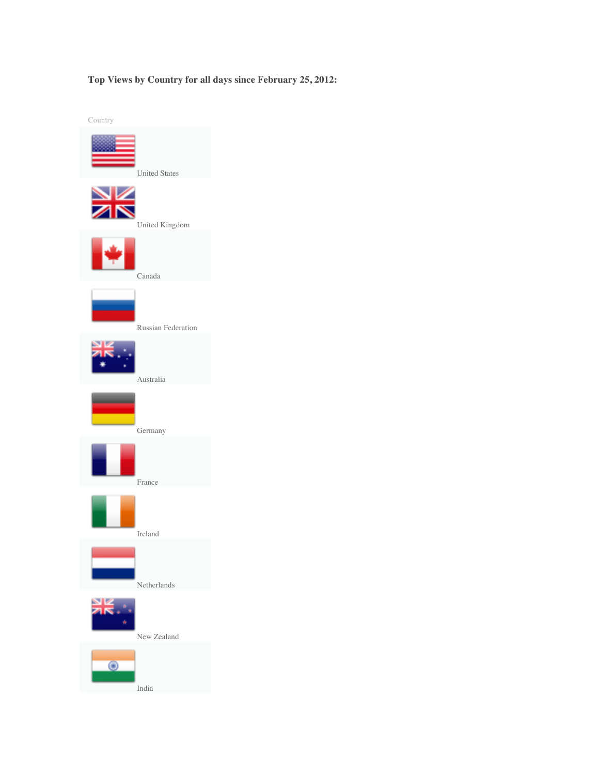## **Top Views by Country for all days since February 25, 2012:**

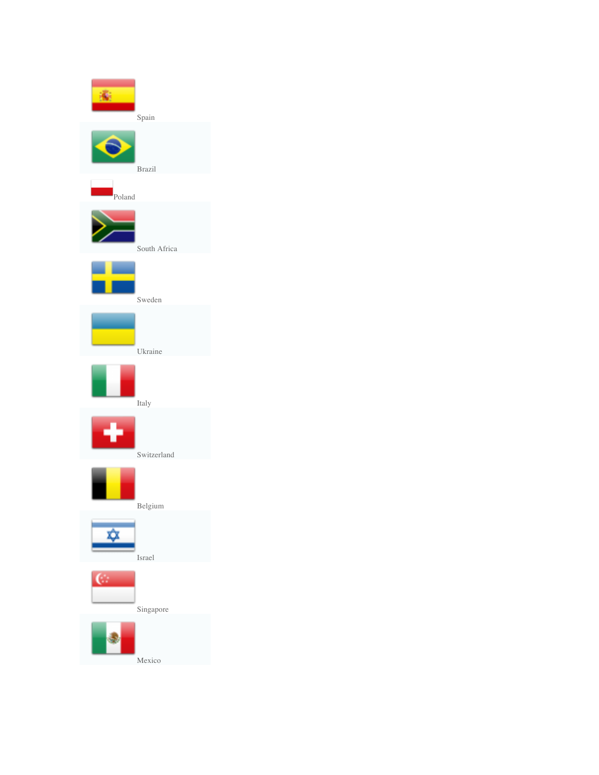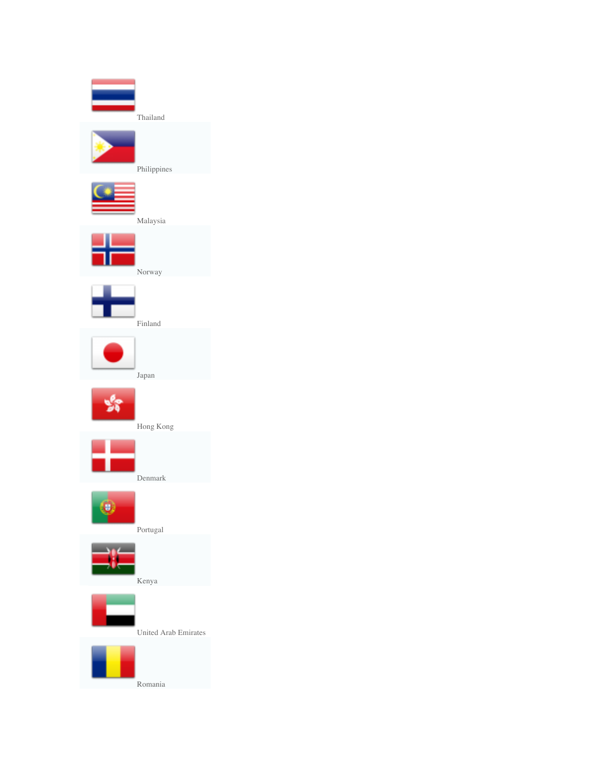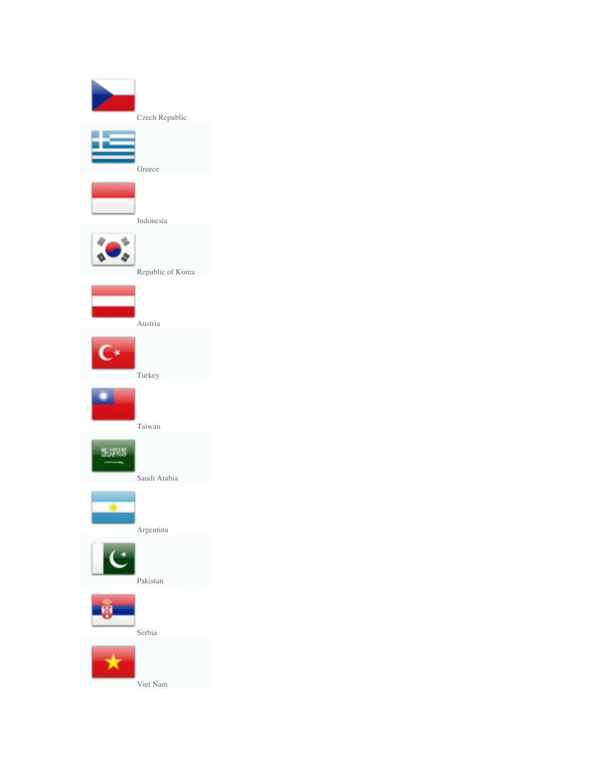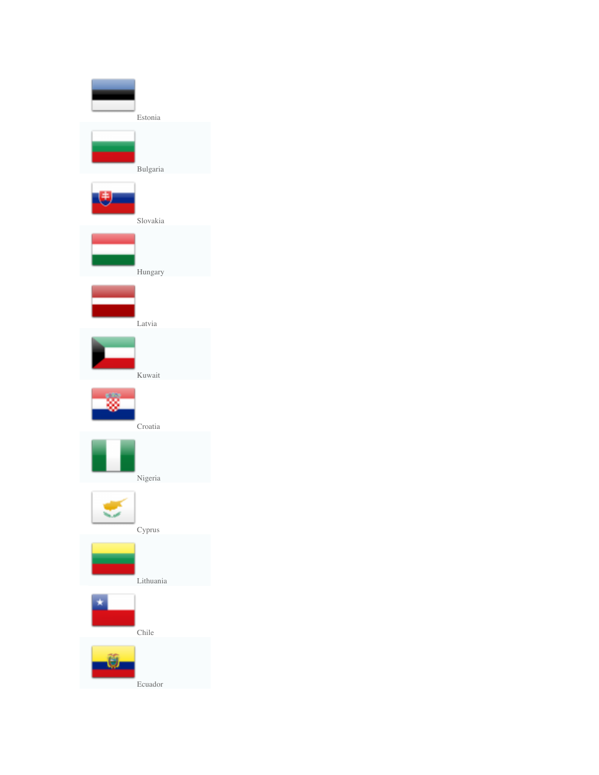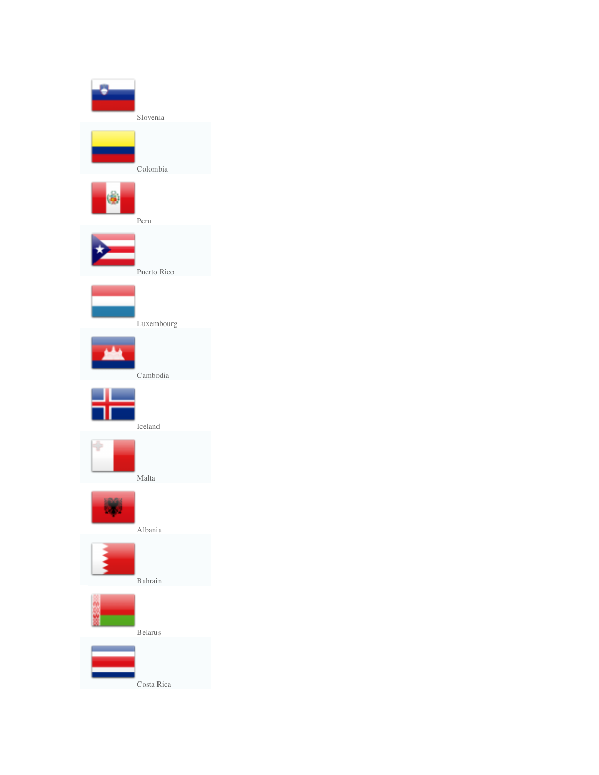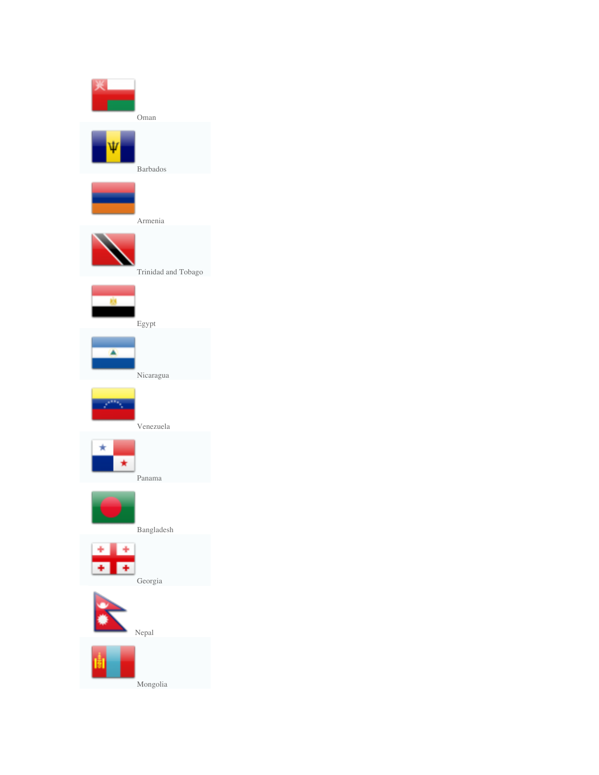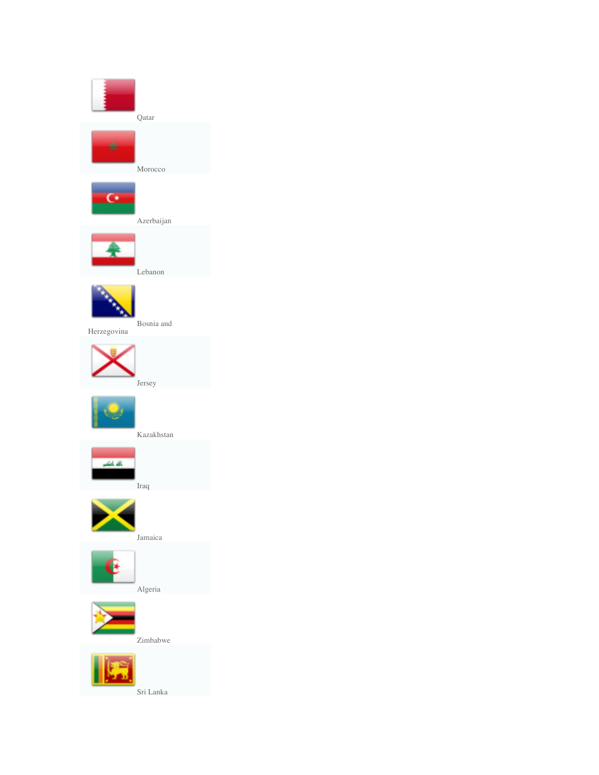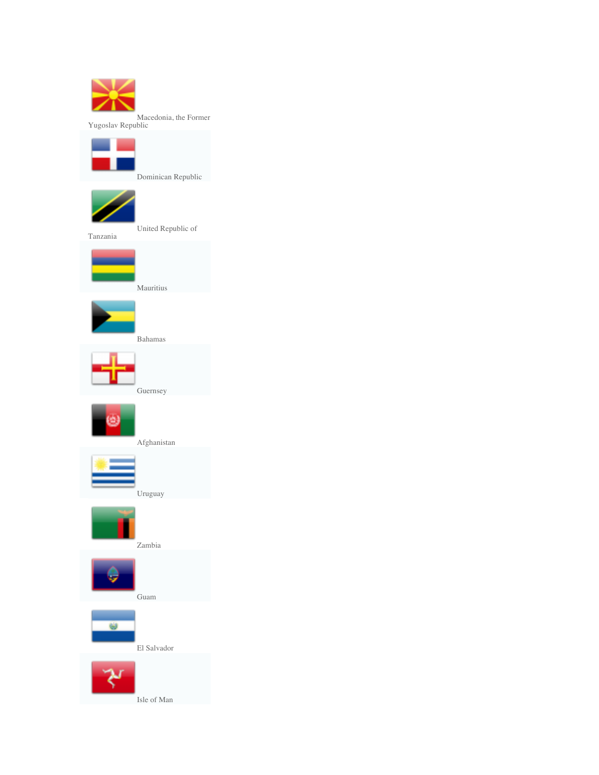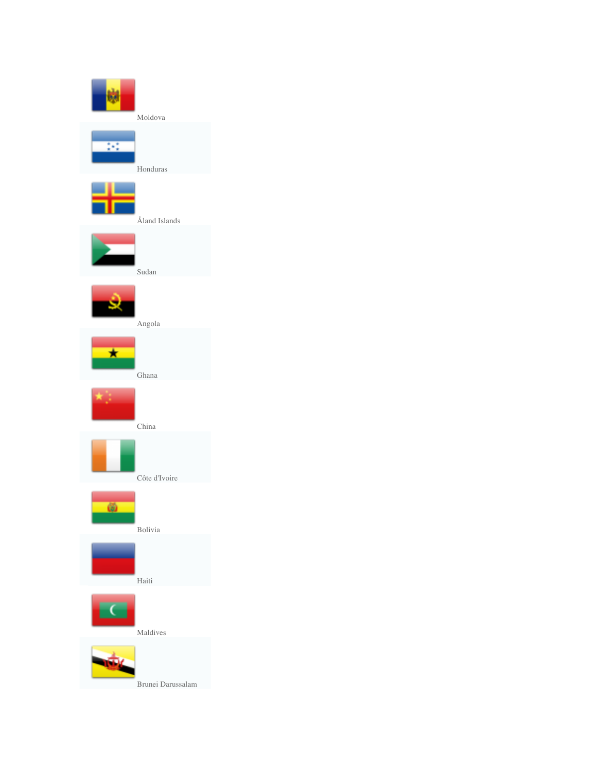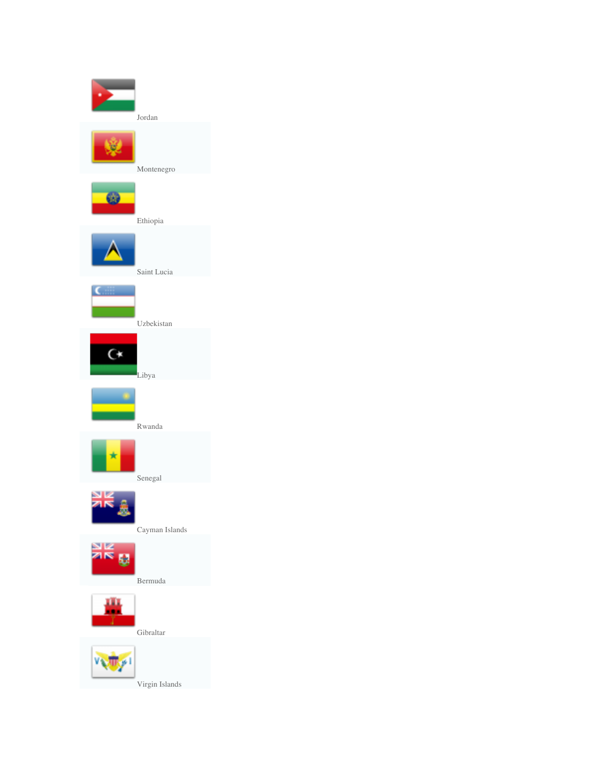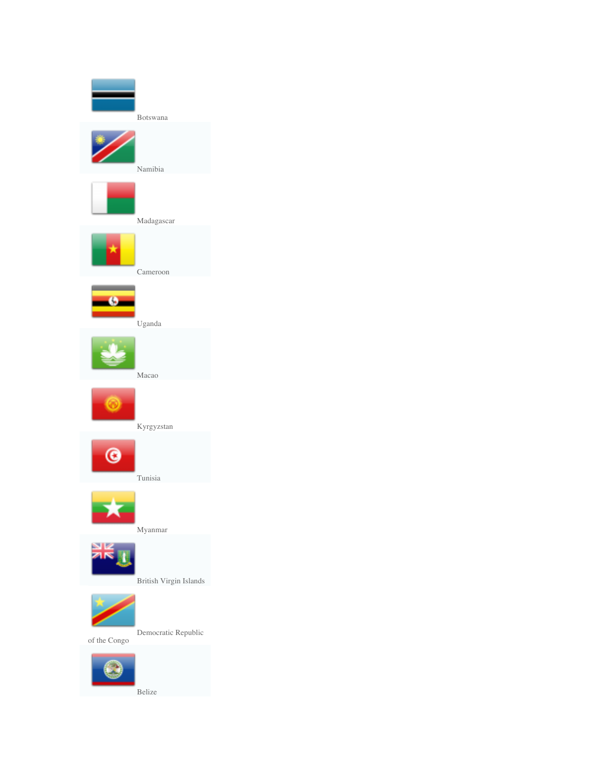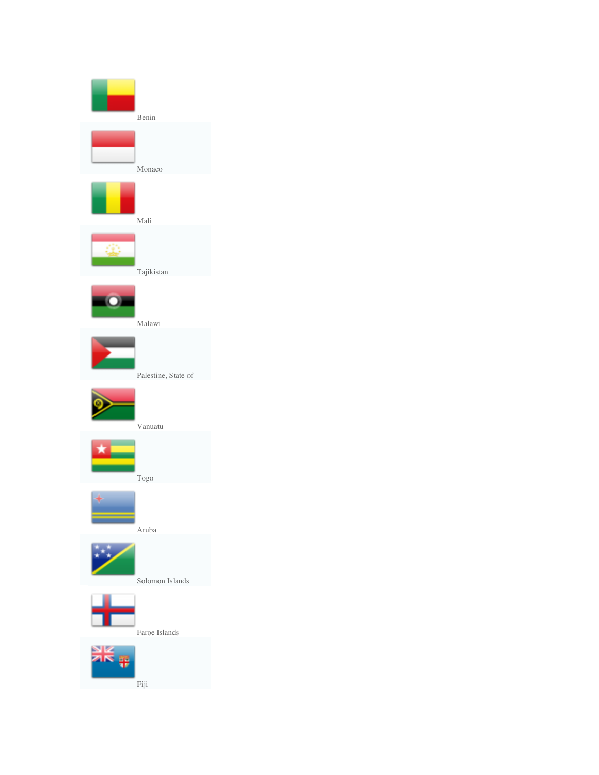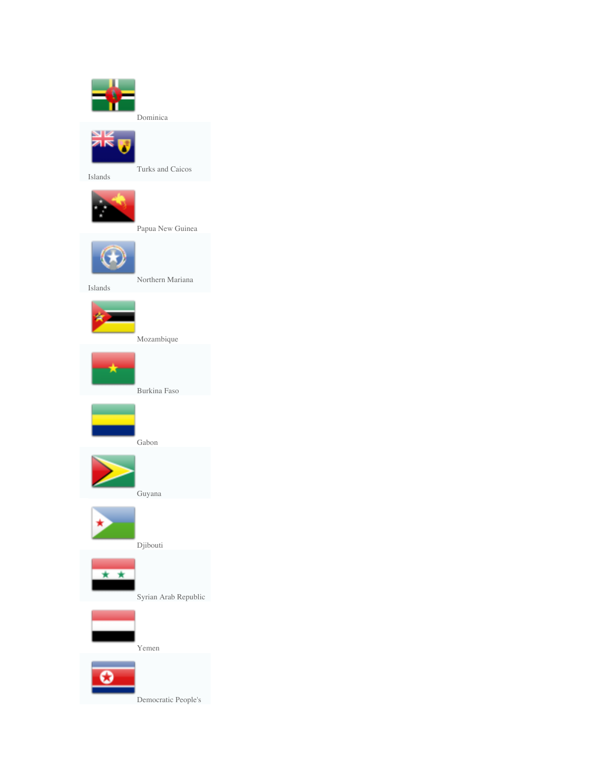